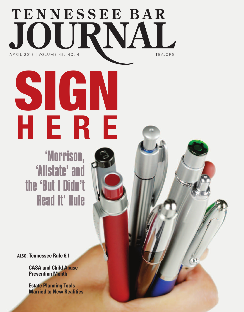## TENNESSEE BAR JOURNAL A PRIL 2013 | VOLUME 49, NO. 4 TBA . ORG

'Morrison, 'Allstate' and the 'But I Didn't Read It' Rule

SIGN

**H E R E**

**ALSO: Tennessee Rule 6.1**

**CASA and Child Abuse Prevention Month**

**Estate Planning Tools Married to New Realities**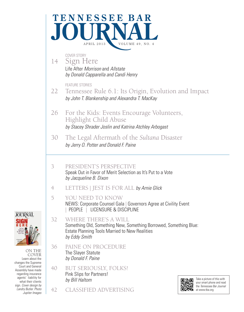



ON THE COVER Learn about the changes the Supreme Court and General Assembly have made regarding insurance agents' liability for what their clients sign. *Cover design by Landry Butler. Photo Jupiter Images*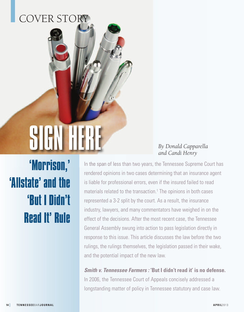## COVER STORY

# SIGN HER

#### *By Donald Capparella and Candi Henry*

'Morrison, ' 'Allstate' and the 'But I Didn't Read It'Rule

In the span of less than two years, the Tennessee Supreme Court has rendered opinions in two cases determining that an insurance agent is liable for professional errors, even if the insured failed to read materials related to the transaction. <sup>1</sup> The opinions in both cases represented a 3-2 split by the court. As a result, the insurance industry, lawyers, and many commentators have weighed in on the effect of the decisions. After the most recent case, the Tennessee General Assembly swung into action to pass legislation directly in response to this issue. This article discusses the law before the two rulings, the rulings themselves, the legislation passed in their wake, and the potential impact of the new law.

**Smith v. Tennessee Farmers : 'But I didn't read it' is no defense.** In 2006, the Tennessee Court of Appeals concisely addressed a longstanding matter of policy in Tennessee statutory and case law.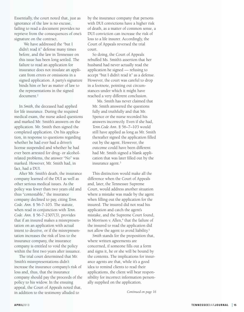Essentially, the court noted that, just as ignorance of the law is no excuse, failing to read a document provides no reprieve from the consequences of one's signature on the contract.

We have addressed the "but I didn't read it" defense many times ' before, and the law in Tennessee on this issue has been long settled. The failure to read an application for insurance does not insulate an applicant from errors or omissions in a signed application. A party's signature binds him or her as matter of law to the representations in the signed document.<sup>2</sup>

In *Smith*, the deceased had applied for life insurance. During the required medical exam, the nurse asked questions and marked Mr. Smith's answers on the application. Mr. Smith then signed the completed application. On his application, in response to questions regarding whether he had ever had a driver's license suspended and whether he had ever been arrested for drug- or alcoholrelated problems, the answer "No" was marked. However, Mr. Smith had, in fact, had a DUI.

After Mr. Smith's death, the insurance company learned of the DUI as well as other serious medical issues. As the policy was fewer than two years old and thus "contestable," the insurance company declined to pay, citing Tenn. Code. Ann. § 56-7-103. The statute, when read in conjunction with Tenn. Code. Ann. § 56-7-2307(3), provides that if an insured makes a misrepresentation on an application with actual intent to deceive, or if the misrepresentation increases the risk of loss to the insurance company, the insurance company is entitled to void the policy within the first two years after issuance.

The trial court determined that Mr. Smith's misrepresentations didn't ' increase the insurance company's risk of loss and, thus, that the insurance company should pay the proceeds of the policy to his widow. In the ensuing appeal, the Court of Appeals noted that, in addition to the testimony alluded to

by the insurance company that persons with DUI convictions have a higher risk of death, as a matter of common sense, a DUI conviction can increase the risk of loss to a life insurer. Accordingly, the Court of Appeals reversed the trial court.

So doing, the Court of Appeals rebuffed Ms. Smith's assertion that her husband had never actually read the application he signed — refusing to accept "but I didn't read it" as a defense. ' However, the court was careful to drop in a footnote, pointing out circumstances under which it might have reached a very different conclusion.

Ms. Smith has never claimed that Mr. Smith answered the questions fully and truthfully and that Mr. Spence or the nurse recorded his answers incorrectly. Even if she had, Tenn. Code Ann. § 56-7-103 would still have applied as long as Mr. Smith thereafter signed the application filled out by the agent. However, the outcome could have been different had Mr. Smith signed a blank application that was later filled out by the insurance agent.<sup>3</sup>

This distinction would make all the difference when the Court of Appeals and, later, the Tennessee Supreme Court, would address another situation where a mistake was made by the agent when filling out the application for the insured. The insured did not read his application and catch the agent's mistake, and the Supreme Court found, in Morrison v. Allen,<sup>4</sup> that the failure of the insured to read the application did not allow the agent to avoid liability.<sup>5</sup>

Smith stands for the proposition that, where written agreements are concerned, if someone fills out a form and signs it, he or she will be bound by the contents. The implications for insurance agents are that, while it's a good idea to remind clients to read their applications, the client will bear respon sibility for incorrect information person ally supplied on the application.

*Continued on page 16*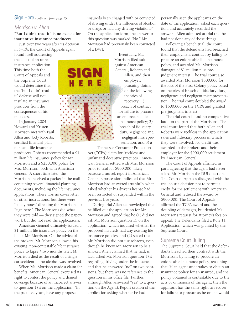#### *Morrison v. Allen*

#### **"But I didn't read it" is no excuse for inattentive insurance producers.**

Just over two years after its decision in *Smith*, the Court of Appeals again

found itself addressing the effect of an unread insurance application. This time both the Court of Appeals and the Supreme Court would determine that the "but I didn't read it" defense will not insulate an insurance producer from the consequences of his mistakes.

In January 2004, Howard and Kristen Morrison met with Paul Allen and Jody Roberts, certified financial planners and life insurance

producers. Roberts recommended a \$1 million life insurance policy for Mr. Morrison and a \$250,000 policy for Mrs. Morrison, both with American General. A short time later, the Morrisons received a packet in the mail containing several financial planning documents, including the life insurance applications. There was no cover letter or other instructions, but there were "sticky notes" directing the Morrisons to "sign here." The Morrisons did what they were told — they signed the paperwork but did not read the applications.

American General ultimately issued a \$1 million life insurance policy on the life of Mr. Morrison. On the advice of the brokers, Mr. Morrison allowed his existing, non-contestable life insurance policy to lapse. <sup>6</sup> Two months later, Mr. Morrison died as the result of a singlecar accident — no alcohol was involved.

When Ms. Morrison made a claim for benefits, American General exercised its right to contest the policy and denied coverage because of an incorrect answer to question 17E on the application: "In the past five years, have any proposed

insureds been charged with or convicted of driving under the influence of alcohol or drugs or had any driving violations?" On the application form, the answer to this question was marked "No." Mr. Morrison had previously been convicted of a DWI.

> Eventually, Ms. Morrison filed suit against American General, Roberts and Allen, and their employer, pursuing claims on the following theories of

recovery: 1) breach of contract for failure to procure an enforceable life insurance policy; 2) breach of fiduciary duty, negligence and negligent misrepresentation; and 3) a

Tennessee Consumer Protection

Act (TCPA) claim for "reckless and unfair and deceptive practices." American General settled with Mrs. Morrison prior to trial for \$900,000, likely because a nurse's report in American General's possession indicated that Mr. Morrison had answered truthfully when asked whether his driver's license had been restricted or suspended within the previous five years.

During trial Allen acknowledged that he filled out the application for Mr. Morrison and agreed that he (1) did not ask Mr. Morrison question 15 on the application, which inquired whether the proposed insureds had any existing life insurance policies, and (2) stated that Mr. Morrison did not use tobacco, even though he knew Mr. Morrison to be a smoker. Allen claimed that he had, in fact, asked Mr. Morrison question 17E regarding driving under the influence and that he answered "no" on two occasions, but there was no reference to the question in his office file. Further, although Allen answered "yes" to a question on the Agent's Report section of the application asking whether he had

personally seen the applicants on the date of the application, asked each question, and accurately recorded the answers, Allen admitted at trial that he had not done any of those things.

Following a bench trial, the court found that the defendants had breached their employment contract by failing to procure an enforceable life insurance policy, and awarded Ms. Morrison damages of \$1 million plus prejudgment interest. The trial court also awarded Mrs. Morrison \$300,000 for the loss of the First Colony policy based on theories of breach of fiduciary duty, negligence and negligent misrepresentation. The trial court doubled the award to \$600,000 on the TCPA and granted pre-judgment interest.

The trial court found no comparative fault on the part of the Morrisons. The trial court found that both Allen and Roberts were reckless in the application, sales and fiduciary process in which they were involved. No credit was awarded to the brokers and their employer for the \$900,000 settlement by American General.

The Court of Appeals affirmed in part, agreeing that the agent had never asked Mr. Morrison the DUI question. The Court of Appeals disagreed with the trial court's decision not to permit a credit for the settlement with American General and reduced the award by \$900,000. The Court of Appeals affirmed the TCPA award and the doubling of damages, but denied Ms. Morrison's request for attorney's fees on appeal. The Defendants filed a Rule 11 Application, which was granted by the Supreme Court.

#### Supreme Court Ruling

The Supreme Court held that the defendants breached their contract with the Morrisons by failing to procure an enforceable insurance policy, reasoning that "if an agent undertakes to obtain an insurance policy for an insured, and the policy obtained is contestable due to the acts or omissions of the agent, then the applicant has the same right to recover for failure to procure as he or she would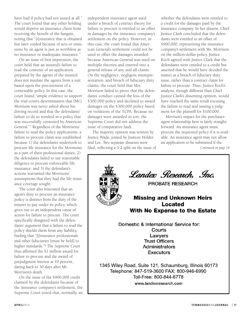have had if policy had not issued at all." The court found that any other holding would deprive an insurance client from receiving the benefit of the bargain, noting that "[i]nsurance that is obtained but later voided because of acts or omissions by an agent is just as worthless as no insurance or inadequate insurance."

On an issue of first impression, the court held that an insured's failure to read the contents of an application prepared by the agents of the insured does not insulate the agents from a suit based upon the procurement of a contestable policy. In this case, the court found "ample evidence to support the trial court's determination that [Mr.] Morrison was never asked about his driving record and that the defendants' failure to do so resulted in a policy that was successfully contested by American General."7 Regardless of the Morrisons' failure to read the policy applications, a failure to procure claim was established because 1) the defendants undertook to procure life insurance for the Morrisons as a part of their professional duties; 2) the defendants failed to use reasonable diligence to procure enforceable life insurance; and 3) the defendant's actions warranted the Morrisons' assumptions that they had the life insurance coverage sought.

The court also reiterated that an agent's duty to procure an insurance policy is distinct from the duty of the insurer to pay under its policy, which gives rise to an independent cause of action for failure to procure. The court specifically disagreed with the defendants' argument that a failure to read the policy shields them from any liability, finding that "[i]nsurance professionals and other fiduciaries [must be held] to higher standards."8 The Supreme Court thus affirmed the \$1 million award for failure to procure and the award of prejudgment interest at 10 percent, dating back to 30 days after Mr. Morrison's death.

On the issue of the \$900,000 credit claimed by the defendants because of the insurance company's settlement, the Supreme Court noted that, normally, an independent insurance agent sued under a breach of contract theory for failure to procure is entitled to an offset in damages by the insurance company's settlement on the policy. However, in this case, the court found that American General's settlement could not be used to offset the damages awarded because American General was sued on multiple theories and entered into a general release of any and all claims. On the negligence, negligent misrepresentation, and breach of fiduciary duty claims, the court held that Mrs. Morrison failed to prove that the defendants' conduct caused the loss of the \$300,000 policy and declined to award damages on the \$300,000 policy based on violations of the TCPA. Because no damages were awarded in tort, the Supreme Court did not address the issue of comparative fault.

The majority opinion was written by Justice Wade, joined by Justices Holder and Lee. Two separate dissents were filed, reflecting a 3-2 split on the issue of whether the defendants were entitled to a credit for the damages paid by the insurance company. In her dissent, Chief Justice Clark concluded that the defendants were entitled to an offset of \$900,000, representing the insurance company's settlement with Ms. Morrison on the million-dollar policy. Justice Koch agreed with Justice Clark that the defendants were entitled to a credit but asserted that he would have decided the matter as a breach of fiduciary duty issue, rather than a contract claim for failure to procure. Thus, Justice Koch's analysis, though different than Chief Justice Clark's dissenting opinion, would have reached the same result excusing the failure to read and issuing a judgment for the plaintiff for \$100,000.

*Morrison*'s impact for the purchaseragent relationship here is fairly straightforward. An insurance agent must procure the requested policy if it is available. An insurance agent may not allow an application to be submitted if the

*Continued on page 18*

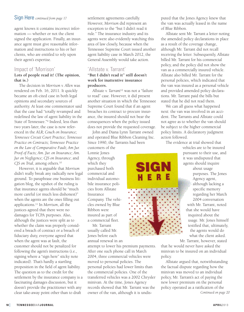agent knows it contains incorrect information — whether or not the client signed the application. Finally, an insurance agent must give reasonable information and instructions to his or her clients, who are entitled to rely upon their agent's expertise.

#### Impact of 'Morrison'

#### **Lots of people read it! (The opinion, that is.)**

The decision in *Morrison v. Allen* was rendered on Feb. 16, 2011. It quickly became an oft-cited case in both legal opinions and secondary sources of authority. At least one commentator said that the case had "totally revamped and redefined the law of agent liability in the State of Tennessee."9 Indeed, less than two years later, the case is now referenced in the *ALR; Couch on Insurance; Tennessee Circuit Court Practice; Tennessee Practice on Contracts; Tennessee Practice on the Law of Comparative Fault; Am Jur. Proof of Facts; Am. Jur. on Insurance; Am. Jur on Negligence; CJS on Insurance*; and *CJS on Trial*, among others. 10

However, it is arguable that *Morrison* didn't really break any radically new legal ground. To paraphrase one business litigation blog, the upshot of the ruling is that insurance agents should be "much more careful (or much less dishonest)" when the agents are the ones filling out applications. <sup>11</sup> In *Morrison*, all the justices agreed that there were no damages for TCPA purposes. Also, although the justices were split as to whether the claim was properly considered a breach of contract or a breach of fiduciary duty, everyone agreed that when the agent was at fault, the customer should not be penalized for following the agent's instructions (i.e., signing where a "sign here" sticky note indicated). That's hardly a startling proposition in the field of agent liability. The question as to the credit for the settlement by the insurance company is a fascinating damages discussion, but it doesn't provide the practitioner with any clear take-away point other than to draft

settlement agreements carefully. However, *Morrison* did represent an exception to the "but I didn't read it rule." The insurance industry and its agents were also evidently watching this area of law closely, because when the Tennessee Supreme Court issued another agent liability case in March 2012, the General Assembly would take action.

#### 'Allstate v. Tarrant'

#### **"But I didn't read it" still doesn't work for inattentive insurance producers.**

*Allstate v. Tarrant*<sup>12</sup> was not a "failure to read" case. However, it did present another situation in which the Tennessee Supreme Court found that if an agent breaches its contract to procure insurance, the insured should not bear the consequences when the policy issued does not provide the requested coverage.

John and Diana Lynn Tarrant owned and operated Blue Ribbon Cleaning Inc. Since 1990, the Tarrants had been

customers of the Lonnie Jones Agency, through which they purchased both commercial and individual automobile insurance policies from Allstate Insurance Company. The vehicles owned by Blue Ribbon were insured as part of a commercial fleet.

Mr. Tarrant usually called Mr. Jones before each annual renewal in an

attempt to lower his premium payments. After one such phone call in March 2004, three commercial vehicles were moved to personal policies. The personal policies had lower limits than the commercial policies. One of the transferred vehicles was a 2002 Chrysler minivan. At the time, Jones Agency records showed that Mr. Tarrant was the owner of the van, although it is undisputed that the Jones Agency knew that the van was actually leased in the name of Blue Ribbon.

Allstate sent Mr. Tarrant a letter noting the amended policy declarations in place as a result of the coverage change, although Mr. Tarrant did not recall receiving the letter. Subsequently, Allstate billed Mr. Tarrant for his commercial policy, and the policy did not show the van as a commercially insured vehicle. Allstate also billed Mr. Tarrant for the personal policies, which indicated that the van was insured as a personal vehicle and provided amended policy declarations. Mr. Tarrant paid the bills but stated that he did not read them.

We can all guess what happened next: the van was involved in an accident. The Tarrants and Allstate could not agree as to whether the van should be subject to the higher commercial policy limits. A declaratory judgment action followed.

The evidence at trial showed that

vehicles are to be insured pursuant to their use, and it was undisputed that agents should inquire about usage purposes. The Jones Agency agent, although lacking a specific memory regarding her March 2004 conversation with Mr. Tarrant, noted that she would have inquired about the usage. Mr. Jones himself testified that, ultimately, the agents would do what the client asked.

Mr. Tarrant, however, stated

that he would never have asked the minivan to be insured on an individual policy.

Allstate argued that, notwithstanding the factual dispute regarding how the minivan was moved to an individual policy, Mr. Tarrant's act of paying the new lower premium on the personal policy operated as a ratification of the *Continued on page 20*



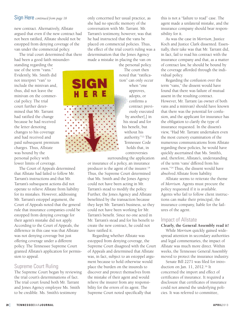new contract. Alternatively, Allstate argued that even if the new contract had not been ratified, Allstate should not be estopped from denying coverage of the van under the commercial policy.

The trial court determined that there had been a good faith misunder-

standing regarding the use of the term "vans." Evidently, Ms. Smith did not interpret "van" to include the minivan and, thus, did not leave the minivan on the commercial policy. The trial court further determined that Mr. Tarrant had ratified the change because he had received the letter denoting changes to his coverage and had received and paid subsequent premium charges. Thus, Allstate was bound by the personal policy with lower limits of coverage.

The Court of Appeals determined that Allstate had failed to follow Mr. Tarrant's instructions and that Mr. Tarrant's subsequent actions did not operate to relieve Allstate from liability for its mistakes. However, addressing Mr. Tarrant's estoppel argument, the Court of Appeals noted that the general rule that insurance companies could be estopped from denying coverage for their agent's mistake did not apply. According to the Court of Appeals, the difference in this case was that Allstate was not denying coverage but just offering coverage under a different policy. The Tennessee Supreme Court granted Allstate's application for permission to appeal.

#### Supreme Court Ruling

The Supreme Court began by reviewing the trial court's determinations of fact. The trial court found both Mr. Tarrant and Jones Agency employee Ms. Smith to be credible. Ms. Smith's testimony

only concerned her usual practice, as she had no specific memory of the conversation with Mr. Tarrant. Mr. Tarrant's testimony, however, was that he had instructed that the vans be placed on commercial policies. Thus, the effect of the trial court's ruling was a determination that the Jones Agency made a mistake in placing the van on

the personal policy. The court then noted that "ratification" can only occur when "one approves, adopts, or confirms a contract previously executed by another[,] in his stead and for his benefit, but without his authority."13 The Tennessee Code holds that, in controversies

surrounding the application

or insurance of a policy, an insurance producer is the agent of the insurer. 14 Thus, the Supreme Court determined that Ms. Smith and the Jones Agency could not have been acting in Mr. Tarrant's stead to modify the policy. Further, the Jones Agency and Allstate benefitted by the transaction because they kept Mr. Tarrant's business, so they could not have been working for Mr. Tarrant's benefit. Since no one acted in Mr. Tarrant's stead and for his benefit to create the new contract, he could not have ratified it.

Regarding whether Allstate was estopped from denying coverage, the Supreme Court disagreed with the Court of Appeals and determined that Allstate was, in fact, subject to an estoppel argument because to hold otherwise would place the burden on the insureds to discover and protect themselves from the mistake of their agent and would relieve the insurer from any responsibility for the errors of its agent. The Supreme Court noted specifically that

this is not a "failure to read" case. The agent made a unilateral mistake, and the insurance company should bear responsibility for it.

As was the case in *Morrison*, Justice Koch and Justice Clark dissented. Essentially, their take was that Mr. Tarrant did, in fact, fail to read his contract with the insurance company and that, as a matter of contract law, he should be bound by the coverage afforded through the individual policy.

Regarding the confusion over the term "vans," the dissent would have found that there was failure of mutual assent in the resulting contract. However, Mr. Tarrant (as owner of both vans and a minivan) should have known that there was the potential for confusion, and the applicant for insurance has the obligation to clarify the type of insurance requested. In the dissent's view, "Had Mr. Tarrant undertaken even the most cursory examination of the numerous communications from Allstate regarding these policies, he would have quickly ascertained that Ms. Smith's, and, therefore, Allstate's, understanding of the term 'vans' differed from his own."14 Thus, the dissent would have absolved Allstate from liability.

Allstate seems to reiterate the theme of *Morrison*. Agents must procure the policy requested if it is available. Agents who fail to follow client instructions can make their principal, the insurance company, liable for the failures of the agent.

#### Impact of Allstate

#### **Clearly, the General Assembly read it!**

While *Morrison* quickly gained widespread attention in secondary authorities and legal commentaries, the impact of *Allstate* was much more direct. Within weeks, the Tennessee General Assembly moved to protect the insurance industry.

Senate Bill 2271 was filed for introduction on Jan. 11, 2012.16 It concerned the import and effect of certificates of insurance. It required a disclosure that certificates of insurance could not amend the underlying policies. It was referred to committee,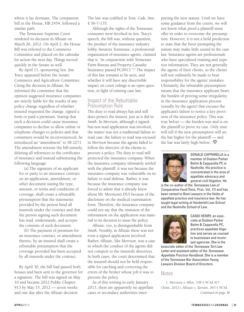where it lay dormant. The companion bill in the House, HB 2454, followed a similar path.

The Tennessee Supreme Court rendered its decision in *Allstat*e on March 26, 2012. On April 2, the House Bill was referred to the Commerce Committee and placed on the calendar for action the next day. Things moved quickly in the Senate as well.

By April 11, sponsoring Sen. Jim Tracy appeared before the Senate Commerce and Agriculture Committee. Citing the decision in *Allstate*, he informed the committee that the opinion suggested insurance companies are strictly liable for the results of any policy change regardless of whether insured requested the change, signed a form or paid a premium. Stating that such a decision could cause insurance companies to decline to allow online or telephone changes to policies and that consumers would be inconvenienced, he introduced an "amendment" to SB 2271. The amendment rewrote the bill entirely, deleting all references to the certificates of insurance and instead substituting the following language:

(a) The signature of an applicant for or party to an insurance contract on an application, amendment, or other document stating the type, amount, or terms and conditions of coverage, shall create a rebuttable presumption that the statements provided by the person bind all insureds under the contract and that the person signing such document has read, understands, and accepts the contents of such document.

(b) The payment of premium for an insurance contract, or amendment thereto, by an insured shall create a rebuttable presumption that the coverage provided has been accepted by all insureds under the contract.

By April 30, the bill had passed both houses and been sent to the governor for a signature. The bill was signed on May 10 and became 2012 Public Chapter 913 by May 15, 2012 — seven weeks and one day after the *Allstate* decision.

The law was codified at *Tenn. Code. Ann.* § 56-7-135.

Although the rights of the Tennessee consumer were invoked in Sen. Tracy's speech, the bill was, without question, the product of the insurance industry lobby. Insurors Tennessee, a professional organization of insurance agents, claimed that it, "in conjunction with Tennessee Farm Bureau and Property Casualty Insurance passed PC0913."17 The impact of this law remains to be seen, and whether it will have any discernible impact on court rulings is an open question, in light of existing case law.

#### Impact of the Rebuttable Presumption Rule

The duty to read always has and still does protect the insuror, just as it did in *Smith*. In *Morrison*, although a signedbut-not-read application was involved, the matter was not a traditional failure to read case: the failure to read was excused in *Morrison* because the agents failed to follow the directive of the clients to procure a policy. The duty to read still protected the insurance company. When the insurance company ultimately settled with the plaintiff, it was not because the insurance company was vulnerable on its failure to read defense. Rather, it was because the insurance company was forced to admit that it already knew about Mr. Morrison's DUI because of the disclosure on the medical examination form. Therefore, the insurance company could not say that the omission of the information on the application was material to its decision to issue the policy.

*Allstate*, too, is distinguishable from *Smith*. Notably, in *Allstate* there was not even a signed application involved. Rather, *Allstate*, like *Morrison*, was a case in which the conduct of the agents did not comport to the insured's directives. In both cases, the court determined that the insured should not be held responsible for catching and correcting the errors of the broker whose job it was to procure the policy.

As of this writing in early January 2013, there are apparently no appellate cases or secondary authorities interpreting the new statute. Until we have some guidance from the courts, we will not know what proof a plaintiff must offer in order to overcome the presumption. However, it is not a bold prediction to state that the furor prompting the statute may make little sound in the case law. Insurance agents are professionals who have specialized training and superior information. They are not generally the agents of their clients, so the clients will not ordinarily be made to bear responsibility for the agents' mistakes. Ultimately, the rebuttable presumption means that the insurance applicant bears the burden of proving some irregularity in the insurance application process (usually by the agent) that excuses the applicant's failure to notice a key provision of the insurance policy. This was true before — the burden was and is on the plaintiff to prove its case. Only time will tell if the new presumption will set the bar higher for the plaintiff — and the bar was fairly high before.  $\mathbf{\mathcal{L}}$ 



DONALD CAPPARELLA is a member of Dodson Parker Behm & Capparella PC in Nashville. His practice is concentrated in the area of appellate advocacy and general civil litigation. He

is the co-author of the *Tennessee Law of Comparative Fault* (Tenn. Prac. Vol. 17) and has been named to Best Lawyers in the fields of appellate practice and insurance law. He has taught legal writing at Vanderbilt Law School and the Nashville School of Law.



CANDI HENRY, an associate at Dodson Parker Behm & Capparella PC, practices appellate litigation and serves as counsel to businesses and municipal agencies. She is the

associate editor of the *Tennessee Tort Law Letter* and assistant editor of the *Tennessee Appellate Practice Handbook*. She is a member of the Tennessee Bar Association Young Lawyers Division Board of Directors.

#### Notes

1. *Morrison v. Allen*, 338 S.W.3d 417 (Tenn. 2011); *Allstate v. Tarrant*, 363 S.W.3d *Continued on page 38*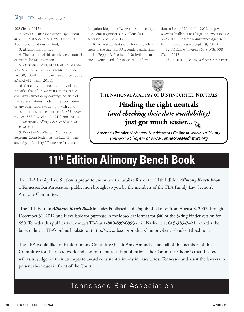508 (Tenn. 2012).

2. *Smith v. Tennessee Farmers Life Reassurance Co.,* 210 S.W.3d 584, 591 (Tenn. Ct. App. 2006)(citations omitted).

3. *Id*.(citations omitted).

4. The authors of this article were counsel of record for Ms. Morrison.

5. *Morrison v. Allen*, M2007-01244-COA-R3-CV, 2009 WL 230220 (Tenn. Ct. App. Jan. 30, 2009) aff'd in part, rev'd in part, 338 S.W.3d 417 (Tenn. 2011).

6. Generally, an incontestability clause provides that after two years an insurance company cannot deny coverage because of misrepresentations made in the application or any other failure to comply with conditions in the insurance contract. See *Morrison v. Allen*, 338 S.W.3d 417, 421 (Tenn. 2011).

7. *Morrison v. Allen*, 338 S.W.3d at 430. 8. *Id.* at 431.

9. Brandon McWherter, "Tennessee Supreme Court Redefines the Law of Insurance Agent Liability," Tennessee Insurance

Litigation Blog, http://www.tninsurancelitigation.com/ tags/morrison-v-allen/ (last accessed Sept. 19, 2012).

10. A WestlawNext search for citing references of the case lists 39 secondary authorities.

11. Pepper & Brothers, "Nashville Insurance Agents Liable for Inaccurate Information in Policy," March 11, 2012, http:// www.nashvillebusinesslitigationlawyersblog.c om/ 2011/03/nashville-insurance-agentslia.html (last accessed Sept. 19, 2012).

12. *Allstate v. Tarran*t, 363 S.W.3d 508 (Tenn. 2012).

13. *Id*. at 517 (citing *Webber v. State Farm*



THE NATIONAL ACADEMY OF DISTINGUISHED NEUTRALS

### Finding the right neutrals (and checking their date availability) just got much easier...

America's Premier Mediators & Arbitrators Online at www.NADN.org Tennessee Chapter at www.TennesseeMediators.org

## **11th Edition Alimony Bench Book**

e TBA Family law section is proud to announce the availability of the 11th edition *Alimony Bench Book*, a Tennessee Bar Association publication brought to you by the members of the TBA Family law section's Alimony Committee.

The 11th Edition *Alimony Bench Book* includes Published and Unpublished cases from August 8, 2003 through December 31, 2012 and is available for purchase in the loose-leaf format for \$40 or the 3-ring binder version for \$50. To order this publication, contact TBA at **1-800-899-6993** or in nashville at **615-383-7421**, or order the book online at TBA's online bookstore at http://www.tba.org/products/alimony-bench-book-11th-edition.

e TBA would like to thank Alimony Committee Chair Amy Amundsen and all of the members of this Committee for their hard work and commitment to this publication. The Committee's hope is that this book will assist judges in their attempts to award consistent alimony in cases across Tennessee and assist the lawyers to present their cases in front of the Court.

#### Tennessee Bar Association